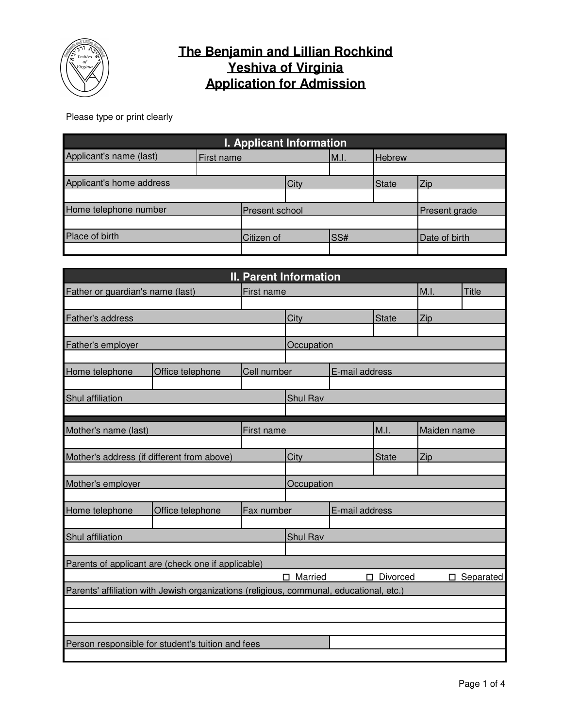

## **The Benjamin and Lillian Rochkind Yeshiva of Virginia Application for Admission**

Please type or print clearly

| <b>I. Applicant Information</b> |                   |                 |      |               |              |               |  |
|---------------------------------|-------------------|-----------------|------|---------------|--------------|---------------|--|
| Applicant's name (last)         | <b>First name</b> |                 | M.I. | <b>Hebrew</b> |              |               |  |
|                                 |                   |                 |      |               |              |               |  |
| Applicant's home address        |                   |                 | City |               | <b>State</b> | Zip           |  |
|                                 |                   |                 |      |               |              |               |  |
| Home telephone number           |                   | IPresent school |      | Present grade |              |               |  |
|                                 |                   |                 |      |               |              |               |  |
| Place of birth                  |                   | Citizen of      |      | SS#           |              | Date of birth |  |
|                                 |                   |                 |      |               |              |               |  |

| <b>II. Parent Information</b>    |                                                                                         |             |              |                |              |             |              |  |
|----------------------------------|-----------------------------------------------------------------------------------------|-------------|--------------|----------------|--------------|-------------|--------------|--|
| Father or guardian's name (last) |                                                                                         | First name  |              |                |              | M.I.        | <b>Title</b> |  |
|                                  |                                                                                         |             |              |                |              |             |              |  |
| Father's address                 |                                                                                         |             | City         |                | <b>State</b> | Zip         |              |  |
|                                  |                                                                                         |             |              |                |              |             |              |  |
| Father's employer                |                                                                                         |             | Occupation   |                |              |             |              |  |
|                                  |                                                                                         |             |              |                |              |             |              |  |
| Home telephone                   | Office telephone                                                                        | Cell number |              | E-mail address |              |             |              |  |
|                                  |                                                                                         |             |              |                |              |             |              |  |
| Shul affiliation                 |                                                                                         |             | Shul Rav     |                |              |             |              |  |
|                                  |                                                                                         |             |              |                |              |             |              |  |
| Mother's name (last)             |                                                                                         | First name  |              |                | M.I.         | Maiden name |              |  |
|                                  |                                                                                         |             |              |                |              |             |              |  |
|                                  | Mother's address (if different from above)                                              |             | City         |                | <b>State</b> | Zip         |              |  |
|                                  |                                                                                         |             |              |                |              |             |              |  |
| Mother's employer                |                                                                                         |             | Occupation   |                |              |             |              |  |
|                                  |                                                                                         |             |              |                |              |             |              |  |
| Home telephone                   | Office telephone                                                                        | Fax number  |              | E-mail address |              |             |              |  |
|                                  |                                                                                         |             |              |                |              |             |              |  |
| Shul affiliation                 |                                                                                         |             | Shul Rav     |                |              |             |              |  |
|                                  |                                                                                         |             |              |                |              |             |              |  |
|                                  | Parents of applicant are (check one if applicable)                                      |             |              |                |              |             |              |  |
|                                  |                                                                                         |             | Married<br>□ | П.             | Divorced     |             | □ Separated  |  |
|                                  | Parents' affiliation with Jewish organizations (religious, communal, educational, etc.) |             |              |                |              |             |              |  |
|                                  |                                                                                         |             |              |                |              |             |              |  |
|                                  |                                                                                         |             |              |                |              |             |              |  |
|                                  |                                                                                         |             |              |                |              |             |              |  |
|                                  | Person responsible for student's tuition and fees                                       |             |              |                |              |             |              |  |
|                                  |                                                                                         |             |              |                |              |             |              |  |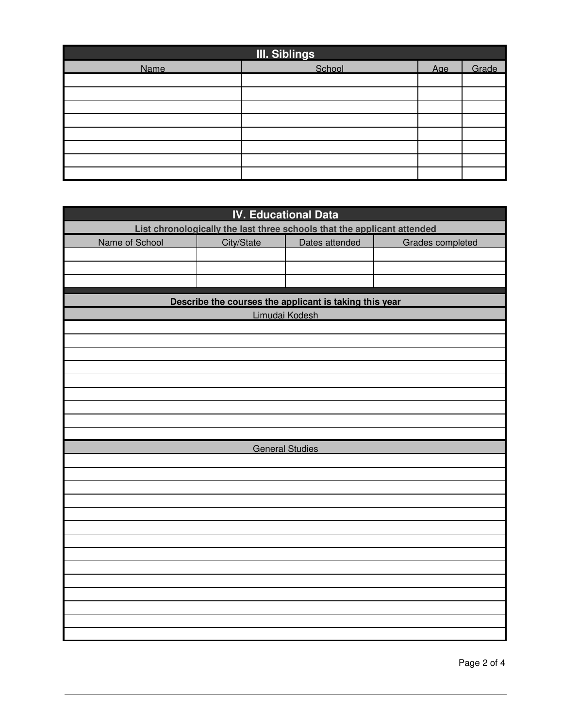| <b>III. Siblings</b> |        |     |       |  |  |  |  |
|----------------------|--------|-----|-------|--|--|--|--|
| Name                 | School | Aae | Grade |  |  |  |  |
|                      |        |     |       |  |  |  |  |
|                      |        |     |       |  |  |  |  |
|                      |        |     |       |  |  |  |  |
|                      |        |     |       |  |  |  |  |
|                      |        |     |       |  |  |  |  |
|                      |        |     |       |  |  |  |  |
|                      |        |     |       |  |  |  |  |
|                      |        |     |       |  |  |  |  |

| <b>IV. Educational Data</b>                                             |                        |                                                        |                  |  |  |  |  |
|-------------------------------------------------------------------------|------------------------|--------------------------------------------------------|------------------|--|--|--|--|
| List chronologically the last three schools that the applicant attended |                        |                                                        |                  |  |  |  |  |
| Name of School                                                          | City/State             | Dates attended                                         | Grades completed |  |  |  |  |
|                                                                         |                        |                                                        |                  |  |  |  |  |
|                                                                         |                        |                                                        |                  |  |  |  |  |
|                                                                         |                        |                                                        |                  |  |  |  |  |
|                                                                         |                        | Describe the courses the applicant is taking this year |                  |  |  |  |  |
|                                                                         |                        | Limudai Kodesh                                         |                  |  |  |  |  |
|                                                                         |                        |                                                        |                  |  |  |  |  |
|                                                                         |                        |                                                        |                  |  |  |  |  |
|                                                                         |                        |                                                        |                  |  |  |  |  |
|                                                                         |                        |                                                        |                  |  |  |  |  |
|                                                                         |                        |                                                        |                  |  |  |  |  |
|                                                                         |                        |                                                        |                  |  |  |  |  |
|                                                                         |                        |                                                        |                  |  |  |  |  |
|                                                                         |                        |                                                        |                  |  |  |  |  |
|                                                                         |                        |                                                        |                  |  |  |  |  |
|                                                                         | <b>General Studies</b> |                                                        |                  |  |  |  |  |
|                                                                         |                        |                                                        |                  |  |  |  |  |
|                                                                         |                        |                                                        |                  |  |  |  |  |
|                                                                         |                        |                                                        |                  |  |  |  |  |
|                                                                         |                        |                                                        |                  |  |  |  |  |
|                                                                         |                        |                                                        |                  |  |  |  |  |
|                                                                         |                        |                                                        |                  |  |  |  |  |
|                                                                         |                        |                                                        |                  |  |  |  |  |
|                                                                         |                        |                                                        |                  |  |  |  |  |
|                                                                         |                        |                                                        |                  |  |  |  |  |
|                                                                         |                        |                                                        |                  |  |  |  |  |
|                                                                         |                        |                                                        |                  |  |  |  |  |
|                                                                         |                        |                                                        |                  |  |  |  |  |
|                                                                         |                        |                                                        |                  |  |  |  |  |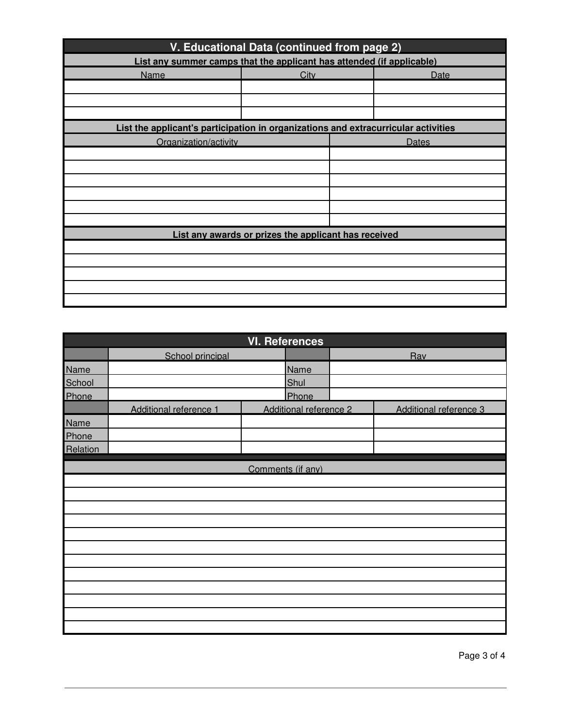| V. Educational Data (continued from page 2)                                        |      |              |      |  |  |  |  |
|------------------------------------------------------------------------------------|------|--------------|------|--|--|--|--|
| List any summer camps that the applicant has attended (if applicable)              |      |              |      |  |  |  |  |
| Name                                                                               | City |              | Date |  |  |  |  |
|                                                                                    |      |              |      |  |  |  |  |
|                                                                                    |      |              |      |  |  |  |  |
|                                                                                    |      |              |      |  |  |  |  |
| List the applicant's participation in organizations and extracurricular activities |      |              |      |  |  |  |  |
| Organization/activity                                                              |      | <b>Dates</b> |      |  |  |  |  |
|                                                                                    |      |              |      |  |  |  |  |
|                                                                                    |      |              |      |  |  |  |  |
|                                                                                    |      |              |      |  |  |  |  |
|                                                                                    |      |              |      |  |  |  |  |
|                                                                                    |      |              |      |  |  |  |  |
|                                                                                    |      |              |      |  |  |  |  |
| List any awards or prizes the applicant has received                               |      |              |      |  |  |  |  |
|                                                                                    |      |              |      |  |  |  |  |
|                                                                                    |      |              |      |  |  |  |  |
|                                                                                    |      |              |      |  |  |  |  |
|                                                                                    |      |              |      |  |  |  |  |
|                                                                                    |      |              |      |  |  |  |  |

| <b>VI. References</b> |                        |                   |                        |  |                        |  |  |
|-----------------------|------------------------|-------------------|------------------------|--|------------------------|--|--|
|                       | School principal       |                   |                        |  | Rav                    |  |  |
| <b>Name</b>           |                        |                   | Name                   |  |                        |  |  |
| School                |                        |                   | Shul                   |  |                        |  |  |
| Phone                 |                        |                   | Phone                  |  |                        |  |  |
|                       | Additional reference 1 |                   | Additional reference 2 |  | Additional reference 3 |  |  |
| Name                  |                        |                   |                        |  |                        |  |  |
| Phone                 |                        |                   |                        |  |                        |  |  |
| Relation              |                        |                   |                        |  |                        |  |  |
|                       |                        | Comments (if any) |                        |  |                        |  |  |
|                       |                        |                   |                        |  |                        |  |  |
|                       |                        |                   |                        |  |                        |  |  |
|                       |                        |                   |                        |  |                        |  |  |
|                       |                        |                   |                        |  |                        |  |  |
|                       |                        |                   |                        |  |                        |  |  |
|                       |                        |                   |                        |  |                        |  |  |
|                       |                        |                   |                        |  |                        |  |  |
|                       |                        |                   |                        |  |                        |  |  |
|                       |                        |                   |                        |  |                        |  |  |
|                       |                        |                   |                        |  |                        |  |  |
|                       |                        |                   |                        |  |                        |  |  |
|                       |                        |                   |                        |  |                        |  |  |